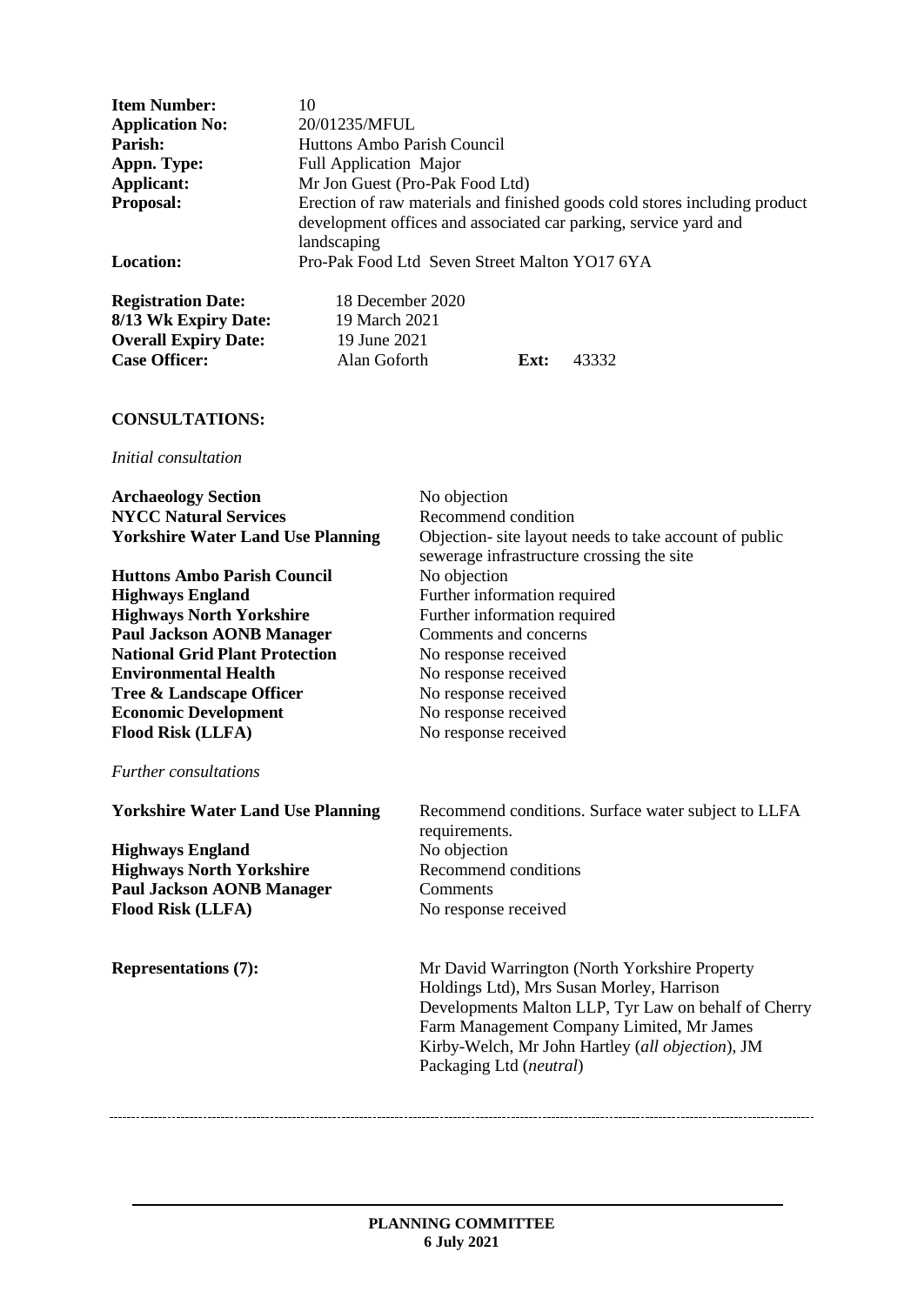| <b>Item Number:</b>                                 | 10                                                                                                                                                            |
|-----------------------------------------------------|---------------------------------------------------------------------------------------------------------------------------------------------------------------|
| <b>Application No:</b>                              | 20/01235/MFUL                                                                                                                                                 |
| Parish:                                             | Huttons Ambo Parish Council                                                                                                                                   |
| Appn. Type:                                         | <b>Full Application Major</b>                                                                                                                                 |
| Applicant:                                          | Mr Jon Guest (Pro-Pak Food Ltd)                                                                                                                               |
| <b>Proposal:</b>                                    | Erection of raw materials and finished goods cold stores including product<br>development offices and associated car parking, service yard and<br>landscaping |
| <b>Location:</b>                                    | Pro-Pak Food Ltd Seven Street Malton YO17 6YA                                                                                                                 |
| <b>Registration Date:</b><br>$8/13$ Wk Expiry Date: | 18 December 2020<br>19 March 2021                                                                                                                             |

| 19 March 2021 |      |       |
|---------------|------|-------|
| 19 June 2021  |      |       |
| Alan Goforth  | Ext: | 43332 |
|               |      |       |

# **CONSULTATIONS:**

-------------------------

### *Initial consultation*

| <b>Archaeology Section</b>               | No objection                                                                                                                                                                                                                                                                   |
|------------------------------------------|--------------------------------------------------------------------------------------------------------------------------------------------------------------------------------------------------------------------------------------------------------------------------------|
| <b>NYCC Natural Services</b>             | Recommend condition                                                                                                                                                                                                                                                            |
| <b>Yorkshire Water Land Use Planning</b> | Objection- site layout needs to take account of public<br>sewerage infrastructure crossing the site                                                                                                                                                                            |
| <b>Huttons Ambo Parish Council</b>       | No objection                                                                                                                                                                                                                                                                   |
| <b>Highways England</b>                  | Further information required                                                                                                                                                                                                                                                   |
| <b>Highways North Yorkshire</b>          | Further information required                                                                                                                                                                                                                                                   |
| <b>Paul Jackson AONB Manager</b>         | Comments and concerns                                                                                                                                                                                                                                                          |
| <b>National Grid Plant Protection</b>    | No response received                                                                                                                                                                                                                                                           |
| <b>Environmental Health</b>              | No response received                                                                                                                                                                                                                                                           |
| Tree & Landscape Officer                 | No response received                                                                                                                                                                                                                                                           |
| <b>Economic Development</b>              | No response received                                                                                                                                                                                                                                                           |
| <b>Flood Risk (LLFA)</b>                 | No response received                                                                                                                                                                                                                                                           |
| <i>Further consultations</i>             |                                                                                                                                                                                                                                                                                |
|                                          |                                                                                                                                                                                                                                                                                |
| <b>Yorkshire Water Land Use Planning</b> | Recommend conditions. Surface water subject to LLFA<br>requirements.                                                                                                                                                                                                           |
| <b>Highways England</b>                  | No objection                                                                                                                                                                                                                                                                   |
| <b>Highways North Yorkshire</b>          | Recommend conditions                                                                                                                                                                                                                                                           |
| <b>Paul Jackson AONB Manager</b>         | Comments                                                                                                                                                                                                                                                                       |
| <b>Flood Risk (LLFA)</b>                 | No response received                                                                                                                                                                                                                                                           |
| <b>Representations (7):</b>              | Mr David Warrington (North Yorkshire Property<br>Holdings Ltd), Mrs Susan Morley, Harrison<br>Developments Malton LLP, Tyr Law on behalf of Cherry<br>Farm Management Company Limited, Mr James<br>Kirby-Welch, Mr John Hartley (all objection), JM<br>Packaging Ltd (neutral) |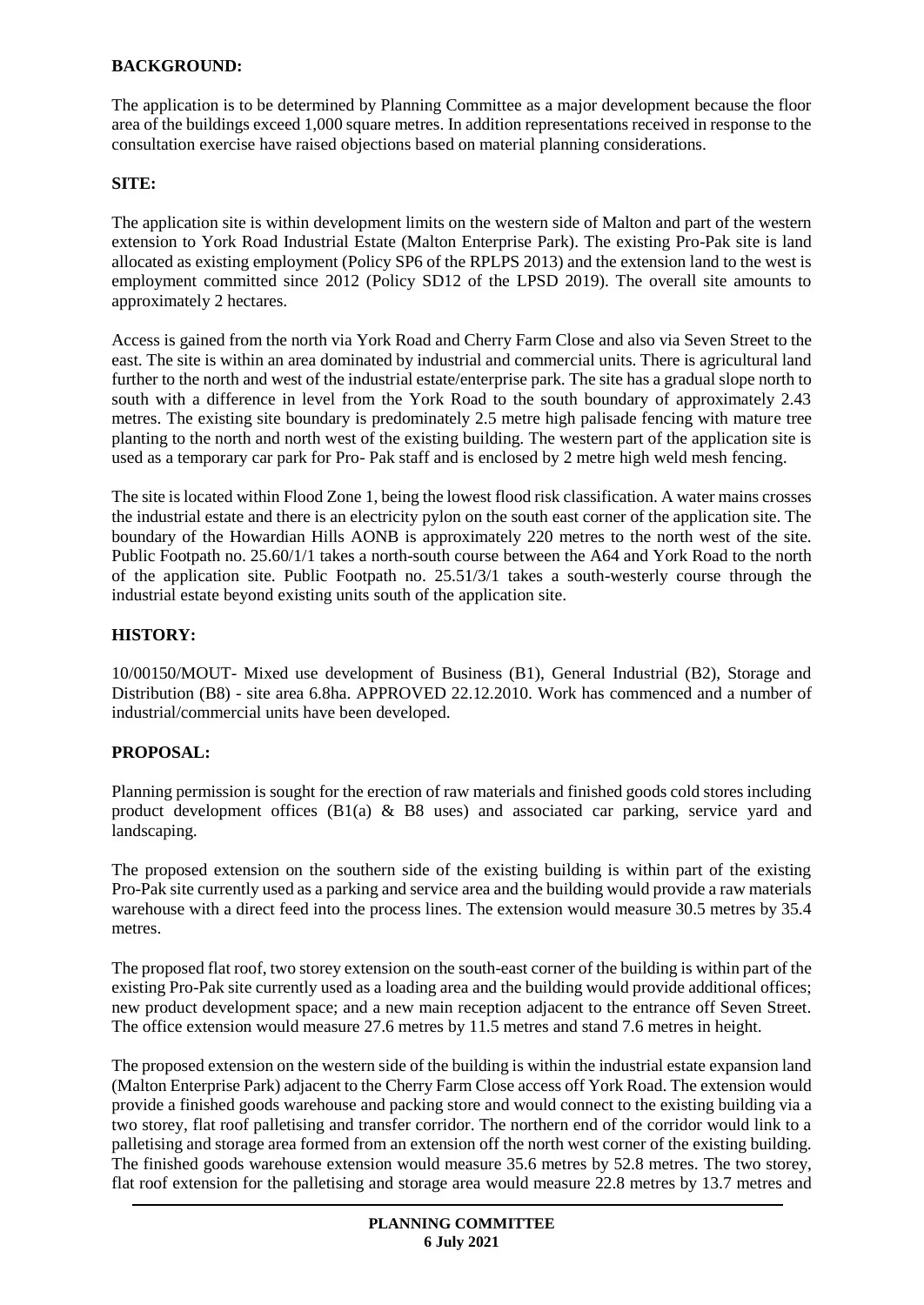### **BACKGROUND:**

The application is to be determined by Planning Committee as a major development because the floor area of the buildings exceed 1,000 square metres. In addition representations received in response to the consultation exercise have raised objections based on material planning considerations.

#### **SITE:**

The application site is within development limits on the western side of Malton and part of the western extension to York Road Industrial Estate (Malton Enterprise Park). The existing Pro-Pak site is land allocated as existing employment (Policy SP6 of the RPLPS 2013) and the extension land to the west is employment committed since 2012 (Policy SD12 of the LPSD 2019). The overall site amounts to approximately 2 hectares.

Access is gained from the north via York Road and Cherry Farm Close and also via Seven Street to the east. The site is within an area dominated by industrial and commercial units. There is agricultural land further to the north and west of the industrial estate/enterprise park. The site has a gradual slope north to south with a difference in level from the York Road to the south boundary of approximately 2.43 metres. The existing site boundary is predominately 2.5 metre high palisade fencing with mature tree planting to the north and north west of the existing building. The western part of the application site is used as a temporary car park for Pro- Pak staff and is enclosed by 2 metre high weld mesh fencing.

The site is located within Flood Zone 1, being the lowest flood risk classification. A water mains crosses the industrial estate and there is an electricity pylon on the south east corner of the application site. The boundary of the Howardian Hills AONB is approximately 220 metres to the north west of the site. Public Footpath no. 25.60/1/1 takes a north-south course between the A64 and York Road to the north of the application site. Public Footpath no. 25.51/3/1 takes a south-westerly course through the industrial estate beyond existing units south of the application site.

### **HISTORY:**

10/00150/MOUT- Mixed use development of Business (B1), General Industrial (B2), Storage and Distribution (B8) - site area 6.8ha. APPROVED 22.12.2010. Work has commenced and a number of industrial/commercial units have been developed.

### **PROPOSAL:**

Planning permission is sought for the erection of raw materials and finished goods cold stores including product development offices  $(B1(a) \& B8$  uses) and associated car parking, service yard and landscaping.

The proposed extension on the southern side of the existing building is within part of the existing Pro-Pak site currently used as a parking and service area and the building would provide a raw materials warehouse with a direct feed into the process lines. The extension would measure 30.5 metres by 35.4 metres.

The proposed flat roof, two storey extension on the south-east corner of the building is within part of the existing Pro-Pak site currently used as a loading area and the building would provide additional offices; new product development space; and a new main reception adjacent to the entrance off Seven Street. The office extension would measure 27.6 metres by 11.5 metres and stand 7.6 metres in height.

The proposed extension on the western side of the building is within the industrial estate expansion land (Malton Enterprise Park) adjacent to the Cherry Farm Close access off York Road. The extension would provide a finished goods warehouse and packing store and would connect to the existing building via a two storey, flat roof palletising and transfer corridor. The northern end of the corridor would link to a palletising and storage area formed from an extension off the north west corner of the existing building. The finished goods warehouse extension would measure 35.6 metres by 52.8 metres. The two storey, flat roof extension for the palletising and storage area would measure 22.8 metres by 13.7 metres and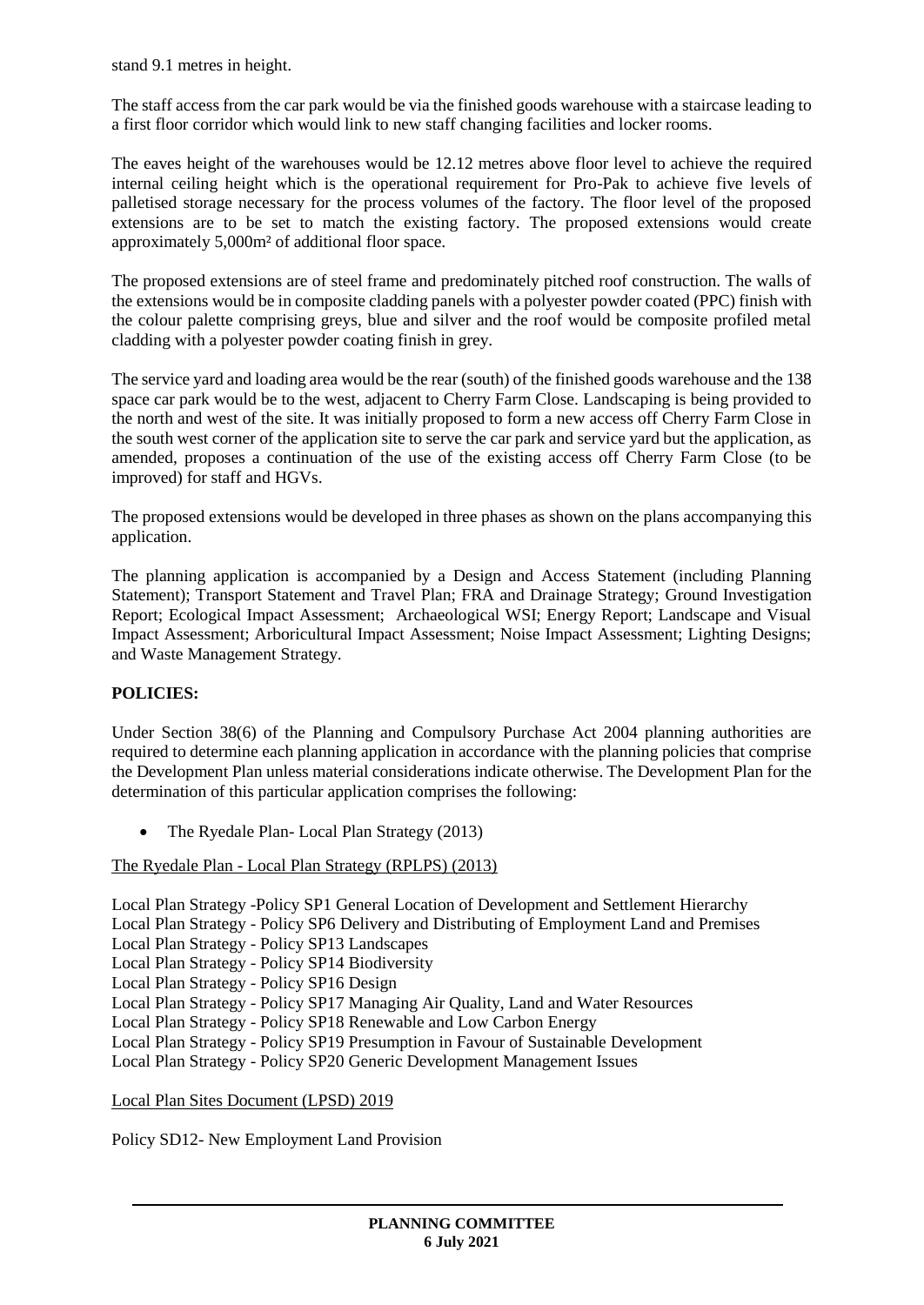stand 9.1 metres in height.

The staff access from the car park would be via the finished goods warehouse with a staircase leading to a first floor corridor which would link to new staff changing facilities and locker rooms.

The eaves height of the warehouses would be 12.12 metres above floor level to achieve the required internal ceiling height which is the operational requirement for Pro-Pak to achieve five levels of palletised storage necessary for the process volumes of the factory. The floor level of the proposed extensions are to be set to match the existing factory. The proposed extensions would create approximately 5,000m² of additional floor space.

The proposed extensions are of steel frame and predominately pitched roof construction. The walls of the extensions would be in composite cladding panels with a polyester powder coated (PPC) finish with the colour palette comprising greys, blue and silver and the roof would be composite profiled metal cladding with a polyester powder coating finish in grey.

The service yard and loading area would be the rear (south) of the finished goods warehouse and the 138 space car park would be to the west, adjacent to Cherry Farm Close. Landscaping is being provided to the north and west of the site. It was initially proposed to form a new access off Cherry Farm Close in the south west corner of the application site to serve the car park and service yard but the application, as amended, proposes a continuation of the use of the existing access off Cherry Farm Close (to be improved) for staff and HGVs.

The proposed extensions would be developed in three phases as shown on the plans accompanying this application.

The planning application is accompanied by a Design and Access Statement (including Planning Statement); Transport Statement and Travel Plan; FRA and Drainage Strategy; Ground Investigation Report; Ecological Impact Assessment; Archaeological WSI; Energy Report; Landscape and Visual Impact Assessment; Arboricultural Impact Assessment; Noise Impact Assessment; Lighting Designs; and Waste Management Strategy.

## **POLICIES:**

Under Section 38(6) of the Planning and Compulsory Purchase Act 2004 planning authorities are required to determine each planning application in accordance with the planning policies that comprise the Development Plan unless material considerations indicate otherwise. The Development Plan for the determination of this particular application comprises the following:

The Ryedale Plan- Local Plan Strategy (2013)

### The Ryedale Plan - Local Plan Strategy (RPLPS) (2013)

Local Plan Strategy -Policy SP1 General Location of Development and Settlement Hierarchy Local Plan Strategy - Policy SP6 Delivery and Distributing of Employment Land and Premises Local Plan Strategy - Policy SP13 Landscapes Local Plan Strategy - Policy SP14 Biodiversity Local Plan Strategy - Policy SP16 Design Local Plan Strategy - Policy SP17 Managing Air Quality, Land and Water Resources Local Plan Strategy - Policy SP18 Renewable and Low Carbon Energy Local Plan Strategy - Policy SP19 Presumption in Favour of Sustainable Development Local Plan Strategy - Policy SP20 Generic Development Management Issues

Local Plan Sites Document (LPSD) 2019

Policy SD12- New Employment Land Provision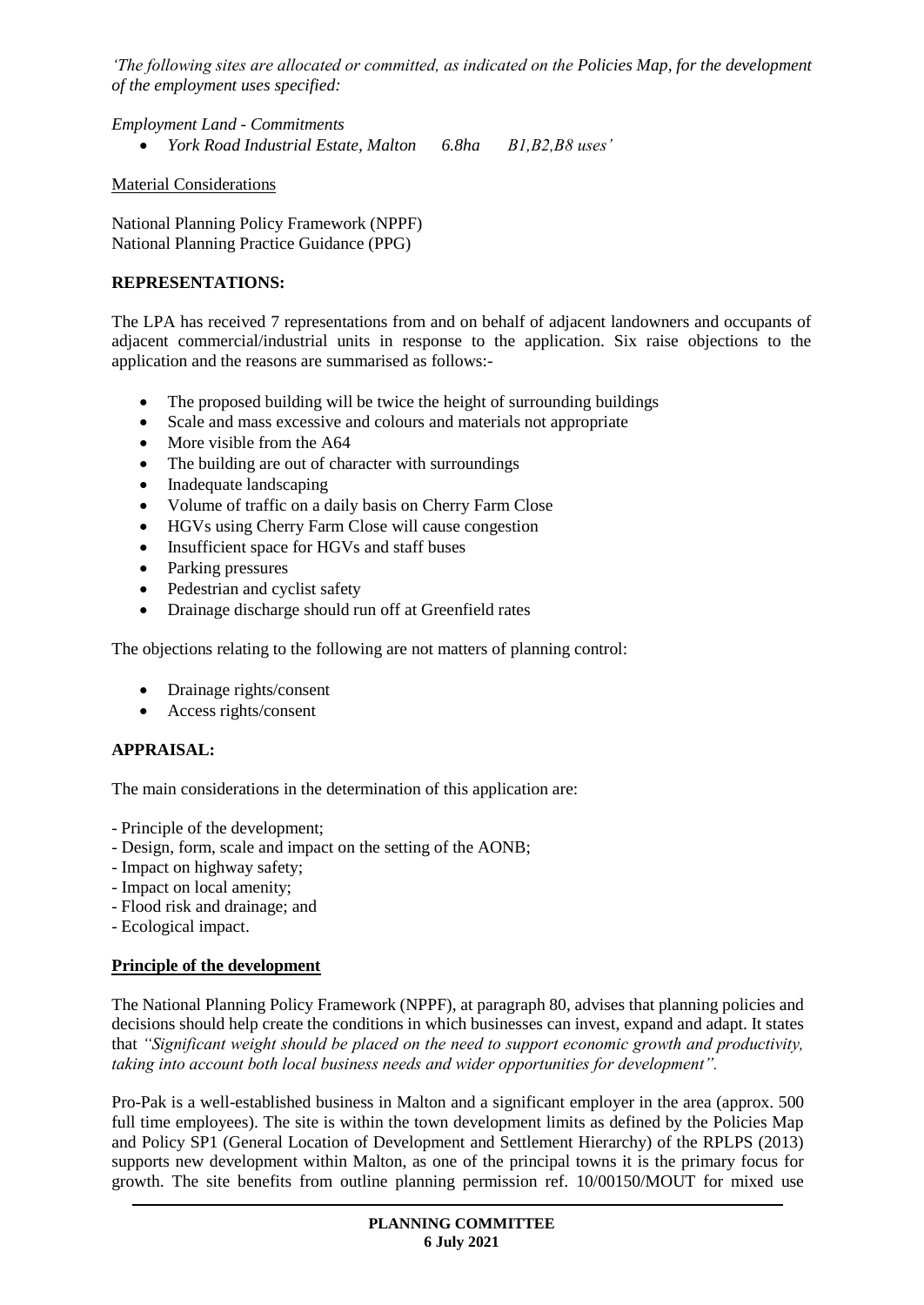*'The following sites are allocated or committed, as indicated on the Policies Map, for the development of the employment uses specified:*

*Employment Land - Commitments*

*York Road Industrial Estate, Malton 6.8ha B1,B2,B8 uses'*

Material Considerations

National Planning Policy Framework (NPPF) National Planning Practice Guidance (PPG)

### **REPRESENTATIONS:**

The LPA has received 7 representations from and on behalf of adjacent landowners and occupants of adjacent commercial/industrial units in response to the application. Six raise objections to the application and the reasons are summarised as follows:-

- The proposed building will be twice the height of surrounding buildings
- Scale and mass excessive and colours and materials not appropriate
- More visible from the A64
- The building are out of character with surroundings
- Inadequate landscaping
- Volume of traffic on a daily basis on Cherry Farm Close
- HGVs using Cherry Farm Close will cause congestion
- Insufficient space for HGVs and staff buses
- Parking pressures
- Pedestrian and cyclist safety
- Drainage discharge should run off at Greenfield rates

The objections relating to the following are not matters of planning control:

- Drainage rights/consent
- Access rights/consent

### **APPRAISAL:**

The main considerations in the determination of this application are:

- Principle of the development;
- Design, form, scale and impact on the setting of the AONB;
- Impact on highway safety;
- Impact on local amenity;
- Flood risk and drainage; and
- Ecological impact.

#### **Principle of the development**

The National Planning Policy Framework (NPPF), at paragraph 80, advises that planning policies and decisions should help create the conditions in which businesses can invest, expand and adapt. It states that *"Significant weight should be placed on the need to support economic growth and productivity, taking into account both local business needs and wider opportunities for development".*

Pro-Pak is a well-established business in Malton and a significant employer in the area (approx. 500 full time employees). The site is within the town development limits as defined by the Policies Map and Policy SP1 (General Location of Development and Settlement Hierarchy) of the RPLPS (2013) supports new development within Malton, as one of the principal towns it is the primary focus for growth. The site benefits from outline planning permission ref. 10/00150/MOUT for mixed use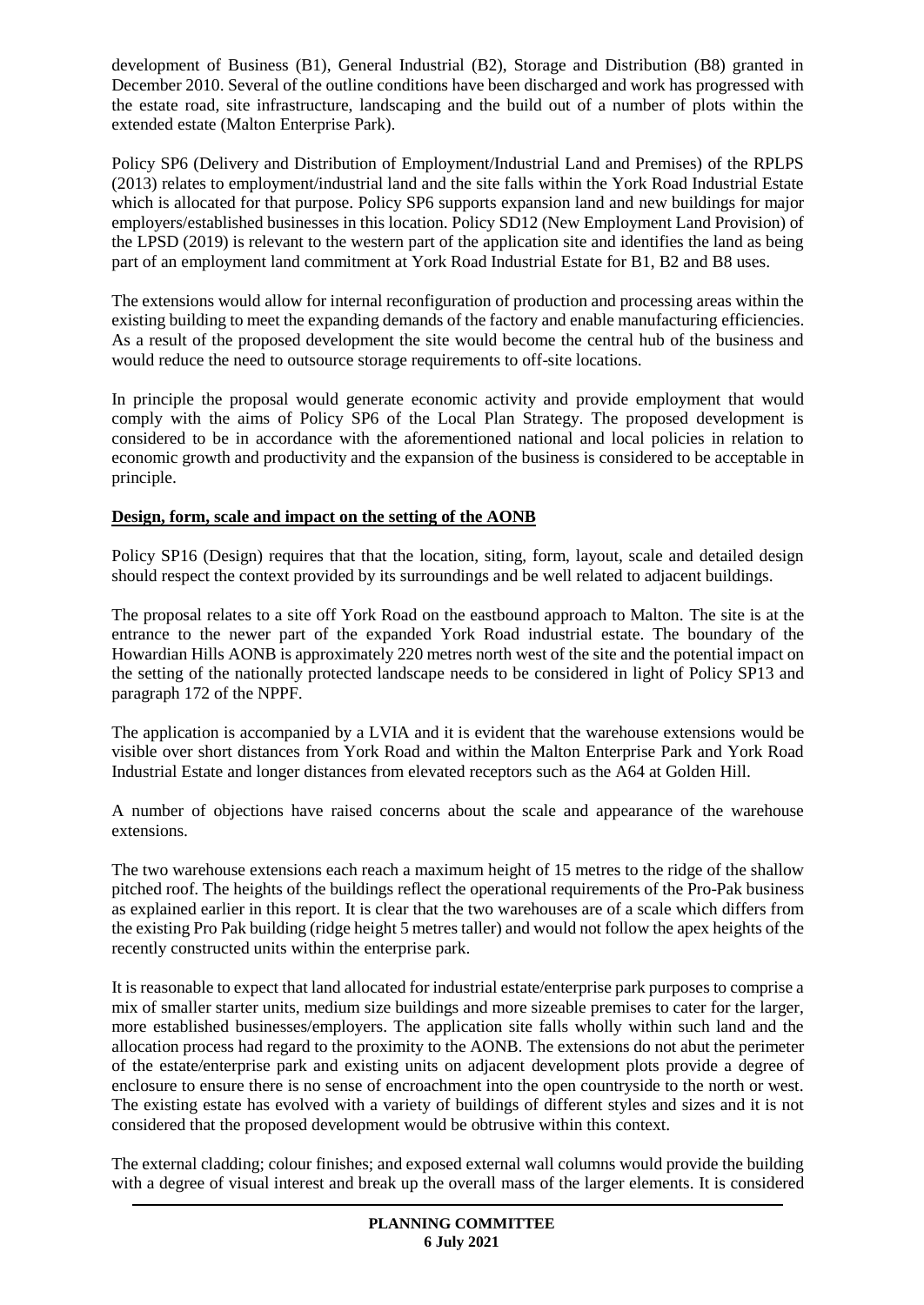development of Business (B1), General Industrial (B2), Storage and Distribution (B8) granted in December 2010. Several of the outline conditions have been discharged and work has progressed with the estate road, site infrastructure, landscaping and the build out of a number of plots within the extended estate (Malton Enterprise Park).

Policy SP6 (Delivery and Distribution of Employment/Industrial Land and Premises) of the RPLPS (2013) relates to employment/industrial land and the site falls within the York Road Industrial Estate which is allocated for that purpose. Policy SP6 supports expansion land and new buildings for major employers/established businesses in this location. Policy SD12 (New Employment Land Provision) of the LPSD (2019) is relevant to the western part of the application site and identifies the land as being part of an employment land commitment at York Road Industrial Estate for B1, B2 and B8 uses.

The extensions would allow for internal reconfiguration of production and processing areas within the existing building to meet the expanding demands of the factory and enable manufacturing efficiencies. As a result of the proposed development the site would become the central hub of the business and would reduce the need to outsource storage requirements to off-site locations.

In principle the proposal would generate economic activity and provide employment that would comply with the aims of Policy SP6 of the Local Plan Strategy. The proposed development is considered to be in accordance with the aforementioned national and local policies in relation to economic growth and productivity and the expansion of the business is considered to be acceptable in principle.

### **Design, form, scale and impact on the setting of the AONB**

Policy SP16 (Design) requires that that the location, siting, form, layout, scale and detailed design should respect the context provided by its surroundings and be well related to adjacent buildings.

The proposal relates to a site off York Road on the eastbound approach to Malton. The site is at the entrance to the newer part of the expanded York Road industrial estate. The boundary of the Howardian Hills AONB is approximately 220 metres north west of the site and the potential impact on the setting of the nationally protected landscape needs to be considered in light of Policy SP13 and paragraph 172 of the NPPF.

The application is accompanied by a LVIA and it is evident that the warehouse extensions would be visible over short distances from York Road and within the Malton Enterprise Park and York Road Industrial Estate and longer distances from elevated receptors such as the A64 at Golden Hill.

A number of objections have raised concerns about the scale and appearance of the warehouse extensions.

The two warehouse extensions each reach a maximum height of 15 metres to the ridge of the shallow pitched roof. The heights of the buildings reflect the operational requirements of the Pro-Pak business as explained earlier in this report. It is clear that the two warehouses are of a scale which differs from the existing Pro Pak building (ridge height 5 metres taller) and would not follow the apex heights of the recently constructed units within the enterprise park.

It is reasonable to expect that land allocated for industrial estate/enterprise park purposes to comprise a mix of smaller starter units, medium size buildings and more sizeable premises to cater for the larger, more established businesses/employers. The application site falls wholly within such land and the allocation process had regard to the proximity to the AONB. The extensions do not abut the perimeter of the estate/enterprise park and existing units on adjacent development plots provide a degree of enclosure to ensure there is no sense of encroachment into the open countryside to the north or west. The existing estate has evolved with a variety of buildings of different styles and sizes and it is not considered that the proposed development would be obtrusive within this context.

The external cladding; colour finishes; and exposed external wall columns would provide the building with a degree of visual interest and break up the overall mass of the larger elements. It is considered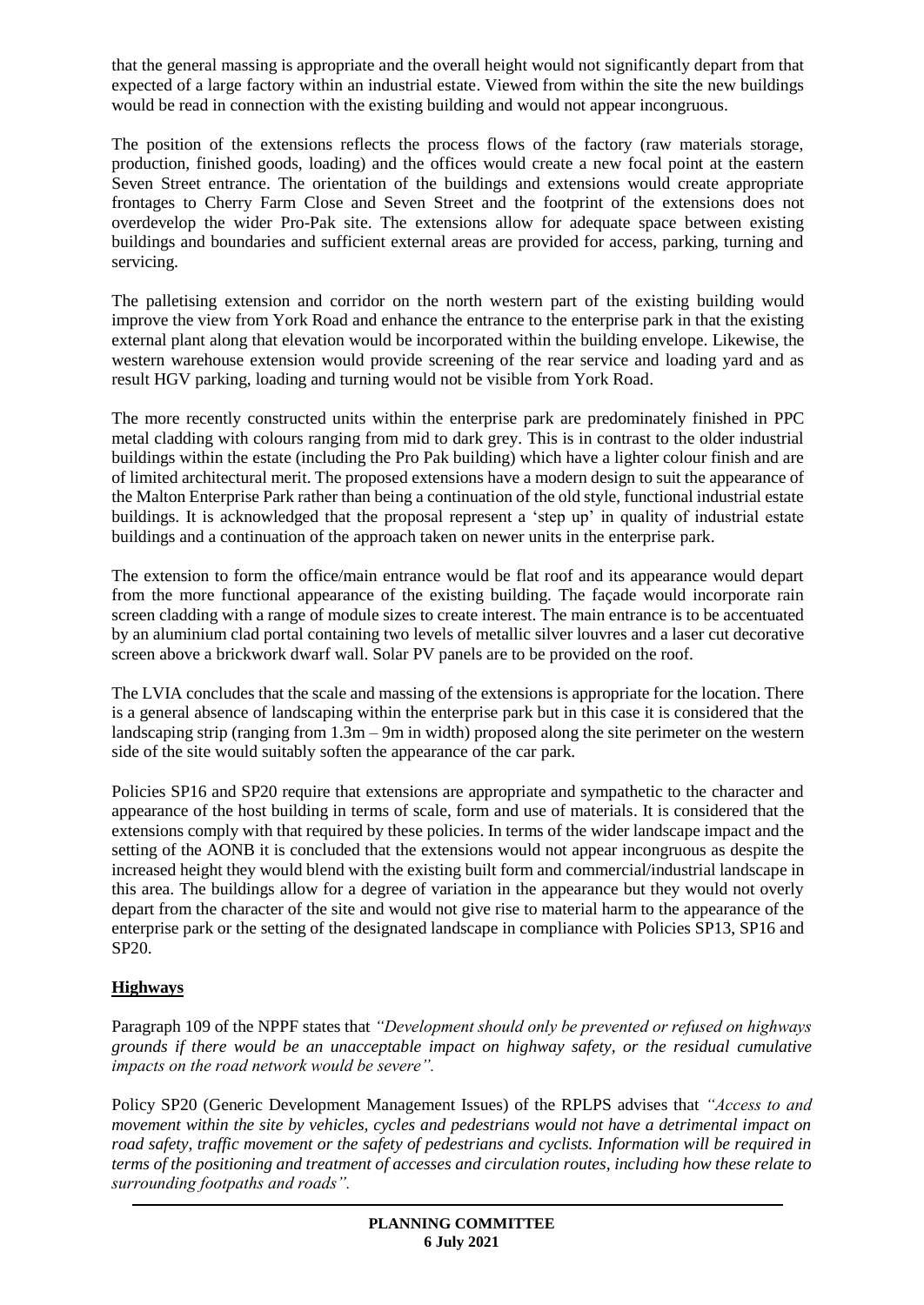that the general massing is appropriate and the overall height would not significantly depart from that expected of a large factory within an industrial estate. Viewed from within the site the new buildings would be read in connection with the existing building and would not appear incongruous.

The position of the extensions reflects the process flows of the factory (raw materials storage, production, finished goods, loading) and the offices would create a new focal point at the eastern Seven Street entrance. The orientation of the buildings and extensions would create appropriate frontages to Cherry Farm Close and Seven Street and the footprint of the extensions does not overdevelop the wider Pro-Pak site. The extensions allow for adequate space between existing buildings and boundaries and sufficient external areas are provided for access, parking, turning and servicing.

The palletising extension and corridor on the north western part of the existing building would improve the view from York Road and enhance the entrance to the enterprise park in that the existing external plant along that elevation would be incorporated within the building envelope. Likewise, the western warehouse extension would provide screening of the rear service and loading yard and as result HGV parking, loading and turning would not be visible from York Road.

The more recently constructed units within the enterprise park are predominately finished in PPC metal cladding with colours ranging from mid to dark grey. This is in contrast to the older industrial buildings within the estate (including the Pro Pak building) which have a lighter colour finish and are of limited architectural merit. The proposed extensions have a modern design to suit the appearance of the Malton Enterprise Park rather than being a continuation of the old style, functional industrial estate buildings. It is acknowledged that the proposal represent a 'step up' in quality of industrial estate buildings and a continuation of the approach taken on newer units in the enterprise park.

The extension to form the office/main entrance would be flat roof and its appearance would depart from the more functional appearance of the existing building. The façade would incorporate rain screen cladding with a range of module sizes to create interest. The main entrance is to be accentuated by an aluminium clad portal containing two levels of metallic silver louvres and a laser cut decorative screen above a brickwork dwarf wall. Solar PV panels are to be provided on the roof.

The LVIA concludes that the scale and massing of the extensions is appropriate for the location. There is a general absence of landscaping within the enterprise park but in this case it is considered that the landscaping strip (ranging from 1.3m – 9m in width) proposed along the site perimeter on the western side of the site would suitably soften the appearance of the car park.

Policies SP16 and SP20 require that extensions are appropriate and sympathetic to the character and appearance of the host building in terms of scale, form and use of materials. It is considered that the extensions comply with that required by these policies. In terms of the wider landscape impact and the setting of the AONB it is concluded that the extensions would not appear incongruous as despite the increased height they would blend with the existing built form and commercial/industrial landscape in this area. The buildings allow for a degree of variation in the appearance but they would not overly depart from the character of the site and would not give rise to material harm to the appearance of the enterprise park or the setting of the designated landscape in compliance with Policies SP13, SP16 and SP20.

## **Highways**

Paragraph 109 of the NPPF states that *"Development should only be prevented or refused on highways grounds if there would be an unacceptable impact on highway safety, or the residual cumulative impacts on the road network would be severe".*

Policy SP20 (Generic Development Management Issues) of the RPLPS advises that *"Access to and movement within the site by vehicles, cycles and pedestrians would not have a detrimental impact on road safety, traffic movement or the safety of pedestrians and cyclists. Information will be required in terms of the positioning and treatment of accesses and circulation routes, including how these relate to surrounding footpaths and roads".*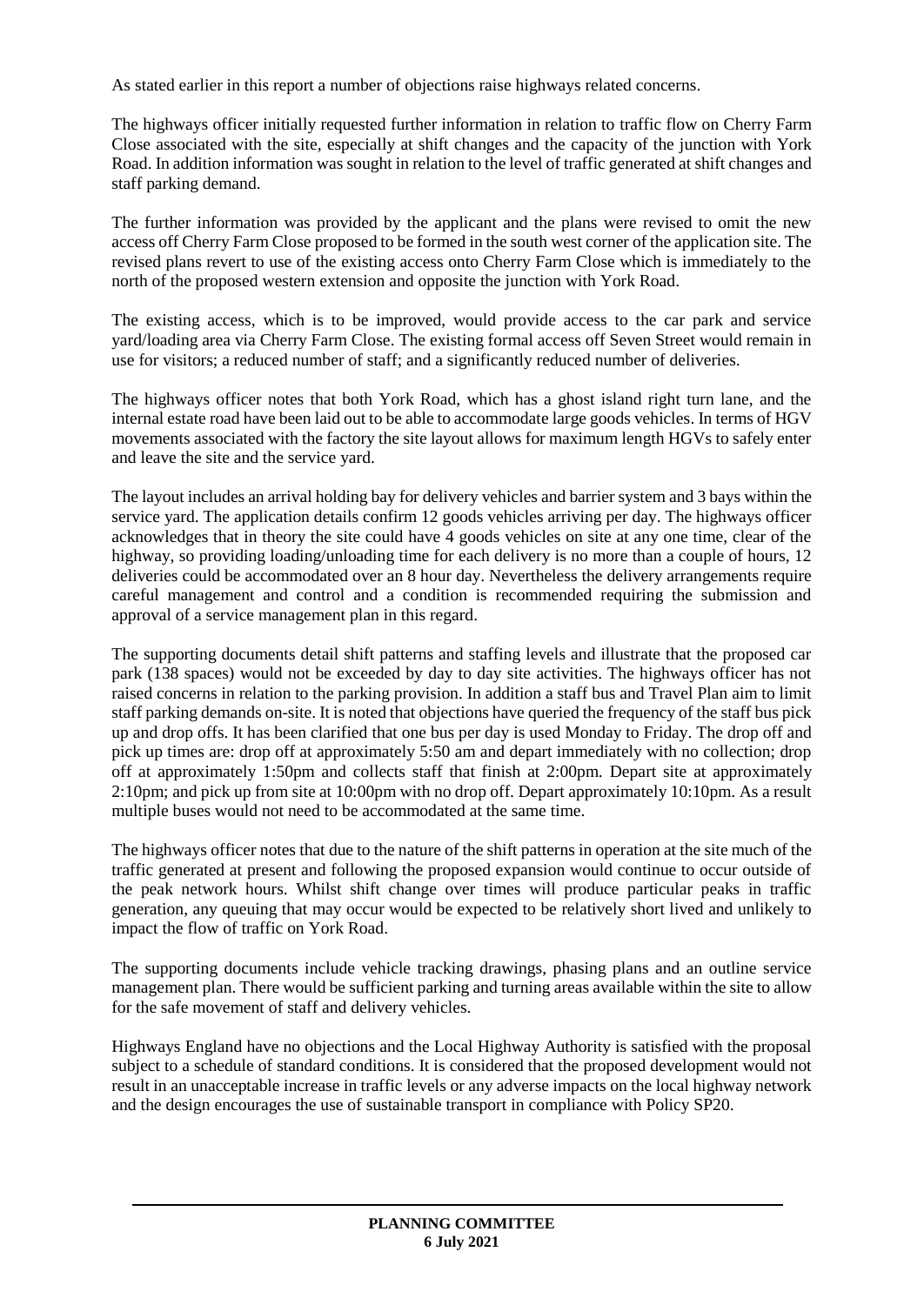As stated earlier in this report a number of objections raise highways related concerns.

The highways officer initially requested further information in relation to traffic flow on Cherry Farm Close associated with the site, especially at shift changes and the capacity of the junction with York Road. In addition information was sought in relation to the level of traffic generated at shift changes and staff parking demand.

The further information was provided by the applicant and the plans were revised to omit the new access off Cherry Farm Close proposed to be formed in the south west corner of the application site. The revised plans revert to use of the existing access onto Cherry Farm Close which is immediately to the north of the proposed western extension and opposite the junction with York Road.

The existing access, which is to be improved, would provide access to the car park and service yard/loading area via Cherry Farm Close. The existing formal access off Seven Street would remain in use for visitors; a reduced number of staff; and a significantly reduced number of deliveries.

The highways officer notes that both York Road, which has a ghost island right turn lane, and the internal estate road have been laid out to be able to accommodate large goods vehicles. In terms of HGV movements associated with the factory the site layout allows for maximum length HGVs to safely enter and leave the site and the service yard.

The layout includes an arrival holding bay for delivery vehicles and barrier system and 3 bays within the service yard. The application details confirm 12 goods vehicles arriving per day. The highways officer acknowledges that in theory the site could have 4 goods vehicles on site at any one time, clear of the highway, so providing loading/unloading time for each delivery is no more than a couple of hours, 12 deliveries could be accommodated over an 8 hour day. Nevertheless the delivery arrangements require careful management and control and a condition is recommended requiring the submission and approval of a service management plan in this regard.

The supporting documents detail shift patterns and staffing levels and illustrate that the proposed car park (138 spaces) would not be exceeded by day to day site activities. The highways officer has not raised concerns in relation to the parking provision. In addition a staff bus and Travel Plan aim to limit staff parking demands on-site. It is noted that objections have queried the frequency of the staff bus pick up and drop offs. It has been clarified that one bus per day is used Monday to Friday. The drop off and pick up times are: drop off at approximately 5:50 am and depart immediately with no collection; drop off at approximately 1:50pm and collects staff that finish at 2:00pm. Depart site at approximately 2:10pm; and pick up from site at 10:00pm with no drop off. Depart approximately 10:10pm. As a result multiple buses would not need to be accommodated at the same time.

The highways officer notes that due to the nature of the shift patterns in operation at the site much of the traffic generated at present and following the proposed expansion would continue to occur outside of the peak network hours. Whilst shift change over times will produce particular peaks in traffic generation, any queuing that may occur would be expected to be relatively short lived and unlikely to impact the flow of traffic on York Road.

The supporting documents include vehicle tracking drawings, phasing plans and an outline service management plan. There would be sufficient parking and turning areas available within the site to allow for the safe movement of staff and delivery vehicles.

Highways England have no objections and the Local Highway Authority is satisfied with the proposal subject to a schedule of standard conditions. It is considered that the proposed development would not result in an unacceptable increase in traffic levels or any adverse impacts on the local highway network and the design encourages the use of sustainable transport in compliance with Policy SP20.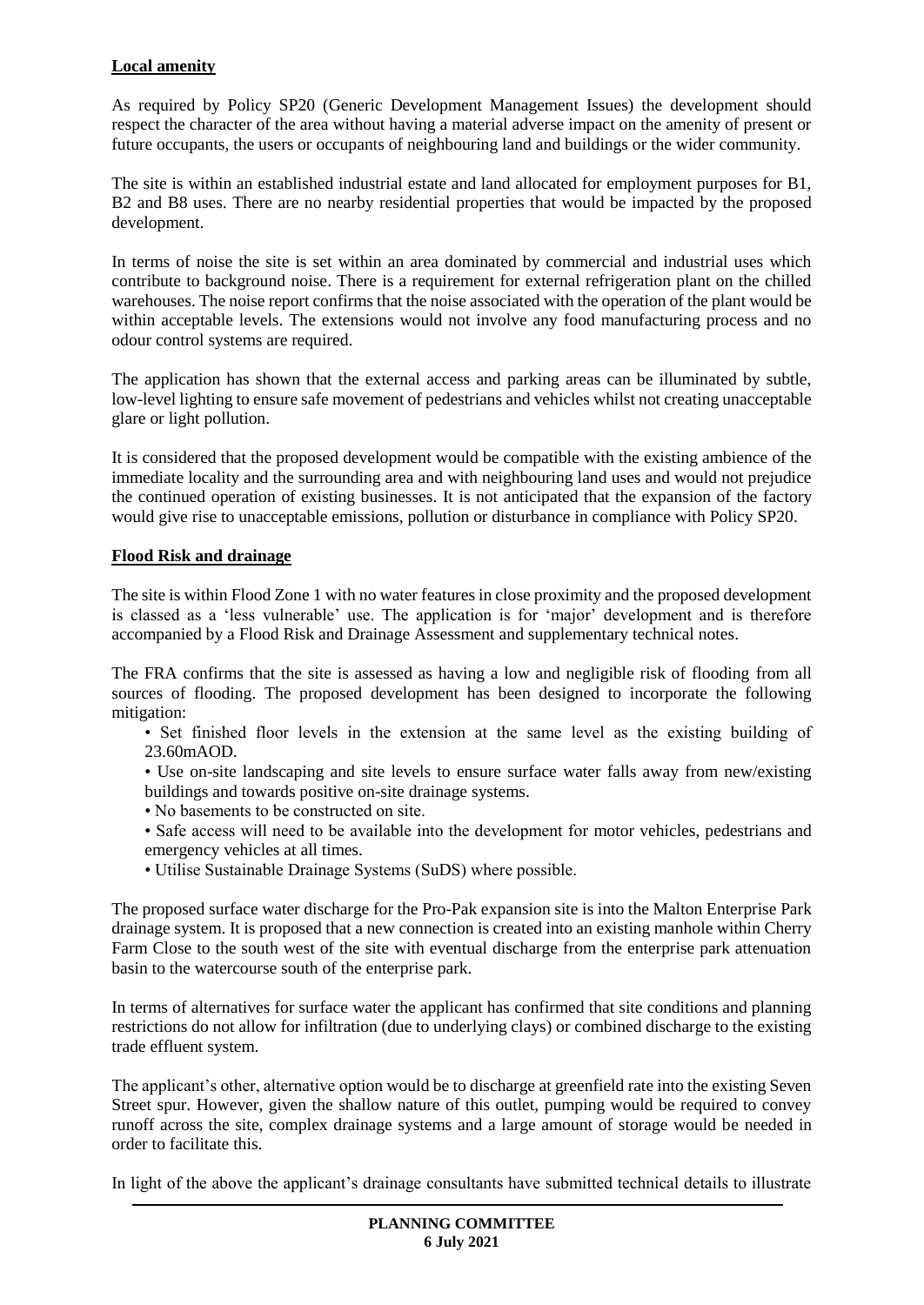### **Local amenity**

As required by Policy SP20 (Generic Development Management Issues) the development should respect the character of the area without having a material adverse impact on the amenity of present or future occupants, the users or occupants of neighbouring land and buildings or the wider community.

The site is within an established industrial estate and land allocated for employment purposes for B1, B2 and B8 uses. There are no nearby residential properties that would be impacted by the proposed development.

In terms of noise the site is set within an area dominated by commercial and industrial uses which contribute to background noise. There is a requirement for external refrigeration plant on the chilled warehouses. The noise report confirms that the noise associated with the operation of the plant would be within acceptable levels. The extensions would not involve any food manufacturing process and no odour control systems are required.

The application has shown that the external access and parking areas can be illuminated by subtle, low-level lighting to ensure safe movement of pedestrians and vehicles whilst not creating unacceptable glare or light pollution.

It is considered that the proposed development would be compatible with the existing ambience of the immediate locality and the surrounding area and with neighbouring land uses and would not prejudice the continued operation of existing businesses. It is not anticipated that the expansion of the factory would give rise to unacceptable emissions, pollution or disturbance in compliance with Policy SP20.

### **Flood Risk and drainage**

The site is within Flood Zone 1 with no water features in close proximity and the proposed development is classed as a 'less vulnerable' use. The application is for 'major' development and is therefore accompanied by a Flood Risk and Drainage Assessment and supplementary technical notes.

The FRA confirms that the site is assessed as having a low and negligible risk of flooding from all sources of flooding. The proposed development has been designed to incorporate the following mitigation:

• Set finished floor levels in the extension at the same level as the existing building of 23.60mAOD.

• Use on-site landscaping and site levels to ensure surface water falls away from new/existing buildings and towards positive on-site drainage systems.

• No basements to be constructed on site.

• Safe access will need to be available into the development for motor vehicles, pedestrians and emergency vehicles at all times.

• Utilise Sustainable Drainage Systems (SuDS) where possible.

The proposed surface water discharge for the Pro-Pak expansion site is into the Malton Enterprise Park drainage system. It is proposed that a new connection is created into an existing manhole within Cherry Farm Close to the south west of the site with eventual discharge from the enterprise park attenuation basin to the watercourse south of the enterprise park.

In terms of alternatives for surface water the applicant has confirmed that site conditions and planning restrictions do not allow for infiltration (due to underlying clays) or combined discharge to the existing trade effluent system.

The applicant's other, alternative option would be to discharge at greenfield rate into the existing Seven Street spur. However, given the shallow nature of this outlet, pumping would be required to convey runoff across the site, complex drainage systems and a large amount of storage would be needed in order to facilitate this.

In light of the above the applicant's drainage consultants have submitted technical details to illustrate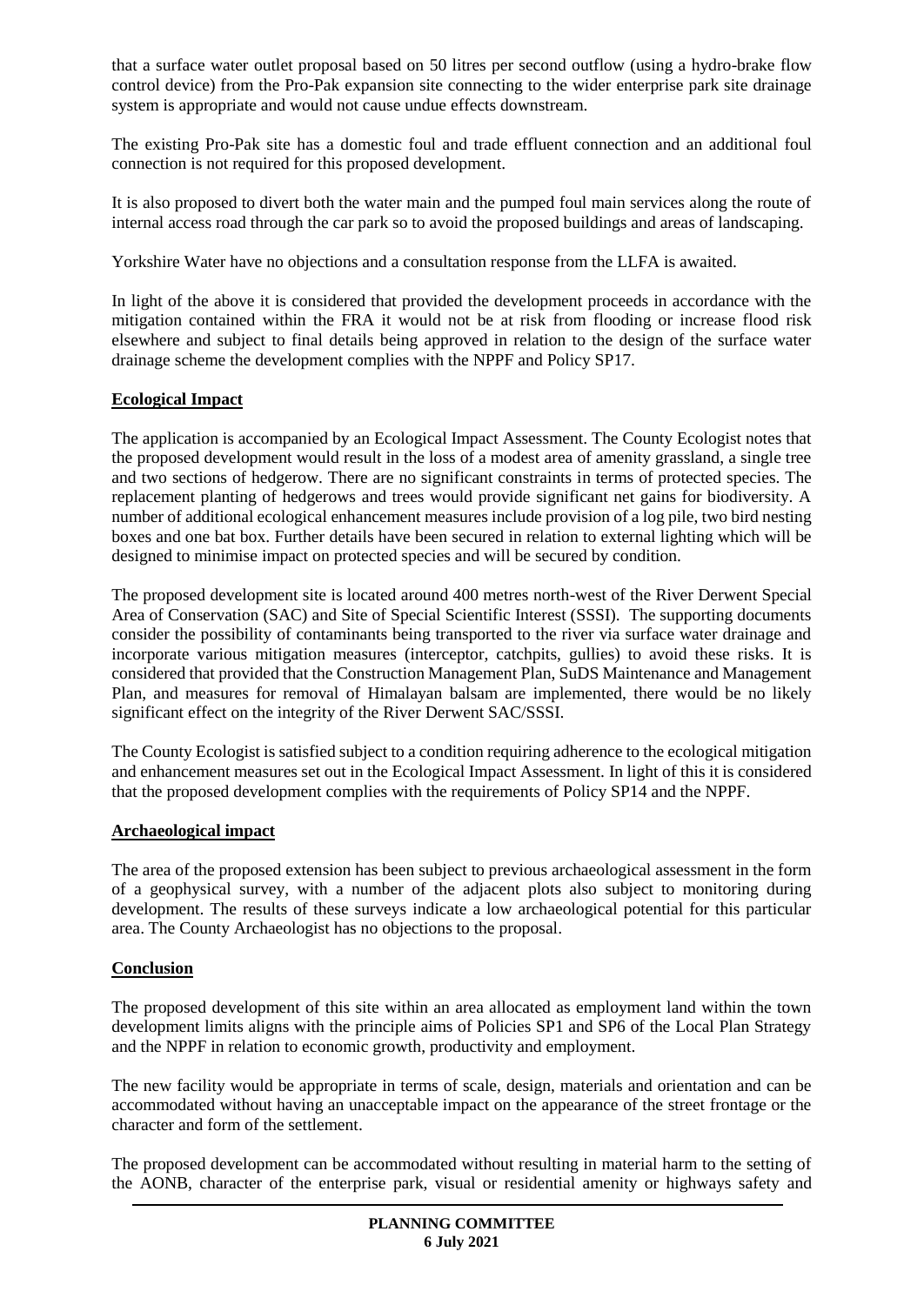that a surface water outlet proposal based on 50 litres per second outflow (using a hydro-brake flow control device) from the Pro-Pak expansion site connecting to the wider enterprise park site drainage system is appropriate and would not cause undue effects downstream.

The existing Pro-Pak site has a domestic foul and trade effluent connection and an additional foul connection is not required for this proposed development.

It is also proposed to divert both the water main and the pumped foul main services along the route of internal access road through the car park so to avoid the proposed buildings and areas of landscaping.

Yorkshire Water have no objections and a consultation response from the LLFA is awaited.

In light of the above it is considered that provided the development proceeds in accordance with the mitigation contained within the FRA it would not be at risk from flooding or increase flood risk elsewhere and subject to final details being approved in relation to the design of the surface water drainage scheme the development complies with the NPPF and Policy SP17.

### **Ecological Impact**

The application is accompanied by an Ecological Impact Assessment. The County Ecologist notes that the proposed development would result in the loss of a modest area of amenity grassland, a single tree and two sections of hedgerow. There are no significant constraints in terms of protected species. The replacement planting of hedgerows and trees would provide significant net gains for biodiversity. A number of additional ecological enhancement measures include provision of a log pile, two bird nesting boxes and one bat box. Further details have been secured in relation to external lighting which will be designed to minimise impact on protected species and will be secured by condition.

The proposed development site is located around 400 metres north-west of the River Derwent Special Area of Conservation (SAC) and Site of Special Scientific Interest (SSSI). The supporting documents consider the possibility of contaminants being transported to the river via surface water drainage and incorporate various mitigation measures (interceptor, catchpits, gullies) to avoid these risks. It is considered that provided that the Construction Management Plan, SuDS Maintenance and Management Plan, and measures for removal of Himalayan balsam are implemented, there would be no likely significant effect on the integrity of the River Derwent SAC/SSSI.

The County Ecologist is satisfied subject to a condition requiring adherence to the ecological mitigation and enhancement measures set out in the Ecological Impact Assessment. In light of this it is considered that the proposed development complies with the requirements of Policy SP14 and the NPPF.

#### **Archaeological impact**

The area of the proposed extension has been subject to previous archaeological assessment in the form of a geophysical survey, with a number of the adjacent plots also subject to monitoring during development. The results of these surveys indicate a low archaeological potential for this particular area. The County Archaeologist has no objections to the proposal.

#### **Conclusion**

The proposed development of this site within an area allocated as employment land within the town development limits aligns with the principle aims of Policies SP1 and SP6 of the Local Plan Strategy and the NPPF in relation to economic growth, productivity and employment.

The new facility would be appropriate in terms of scale, design, materials and orientation and can be accommodated without having an unacceptable impact on the appearance of the street frontage or the character and form of the settlement.

The proposed development can be accommodated without resulting in material harm to the setting of the AONB, character of the enterprise park, visual or residential amenity or highways safety and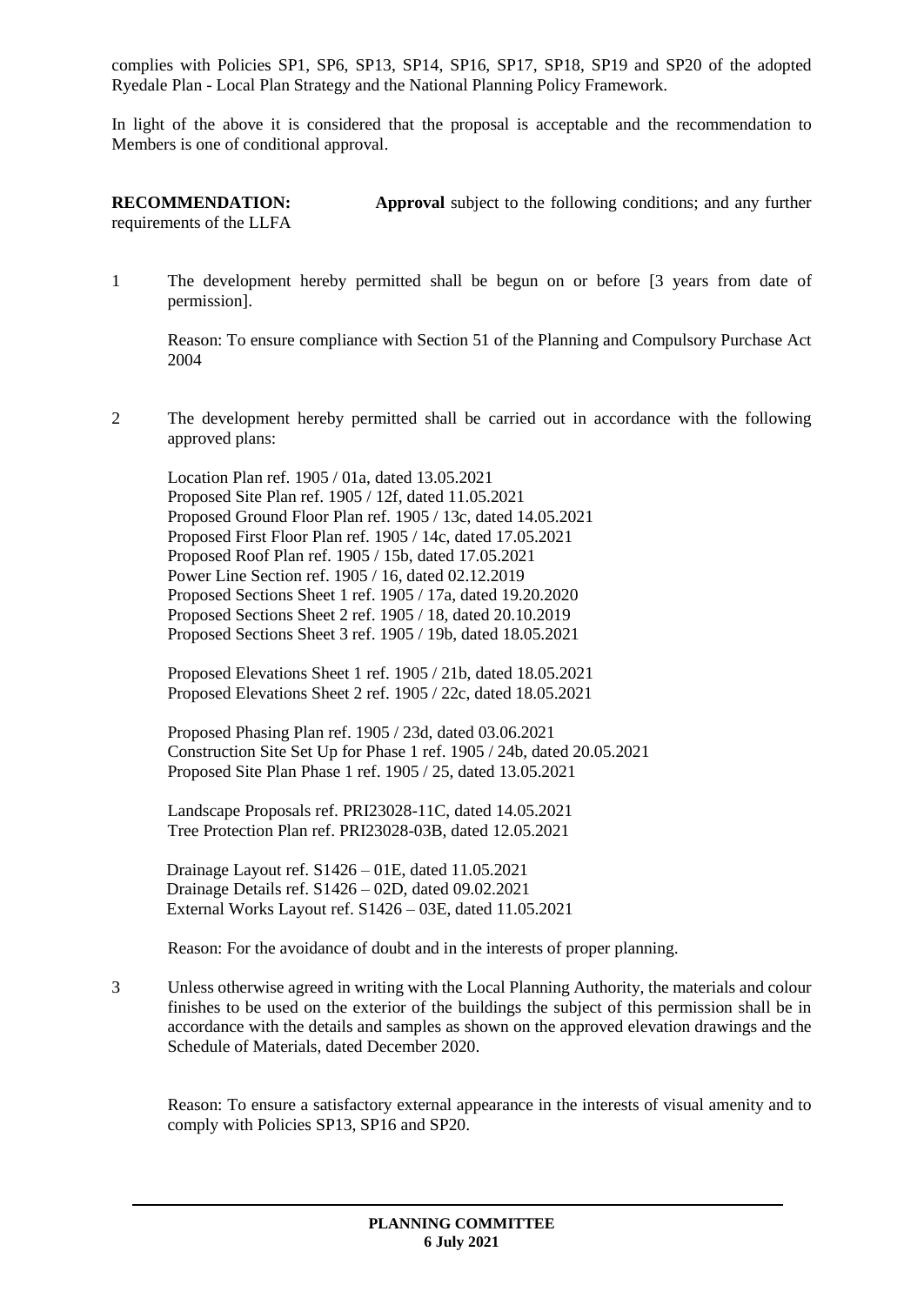complies with Policies SP1, SP6, SP13, SP14, SP16, SP17, SP18, SP19 and SP20 of the adopted Ryedale Plan - Local Plan Strategy and the National Planning Policy Framework.

In light of the above it is considered that the proposal is acceptable and the recommendation to Members is one of conditional approval.

**RECOMMENDATION: Approval** subject to the following conditions; and any further requirements of the LLFA

1 The development hereby permitted shall be begun on or before [3 years from date of permission].

Reason: To ensure compliance with Section 51 of the Planning and Compulsory Purchase Act 2004

2 The development hereby permitted shall be carried out in accordance with the following approved plans:

Location Plan ref. 1905 / 01a, dated 13.05.2021 Proposed Site Plan ref. 1905 / 12f, dated 11.05.2021 Proposed Ground Floor Plan ref. 1905 / 13c, dated 14.05.2021 Proposed First Floor Plan ref. 1905 / 14c, dated 17.05.2021 Proposed Roof Plan ref. 1905 / 15b, dated 17.05.2021 Power Line Section ref. 1905 / 16, dated 02.12.2019 Proposed Sections Sheet 1 ref. 1905 / 17a, dated 19.20.2020 Proposed Sections Sheet 2 ref. 1905 / 18, dated 20.10.2019 Proposed Sections Sheet 3 ref. 1905 / 19b, dated 18.05.2021

Proposed Elevations Sheet 1 ref. 1905 / 21b, dated 18.05.2021 Proposed Elevations Sheet 2 ref. 1905 / 22c, dated 18.05.2021

Proposed Phasing Plan ref. 1905 / 23d, dated 03.06.2021 Construction Site Set Up for Phase 1 ref. 1905 / 24b, dated 20.05.2021 Proposed Site Plan Phase 1 ref. 1905 / 25, dated 13.05.2021

Landscape Proposals ref. PRI23028-11C, dated 14.05.2021 Tree Protection Plan ref. PRI23028-03B, dated 12.05.2021

Drainage Layout ref. S1426 – 01E, dated 11.05.2021 Drainage Details ref. S1426 – 02D, dated 09.02.2021 External Works Layout ref. S1426 – 03E, dated 11.05.2021

Reason: For the avoidance of doubt and in the interests of proper planning.

3 Unless otherwise agreed in writing with the Local Planning Authority, the materials and colour finishes to be used on the exterior of the buildings the subject of this permission shall be in accordance with the details and samples as shown on the approved elevation drawings and the Schedule of Materials, dated December 2020.

Reason: To ensure a satisfactory external appearance in the interests of visual amenity and to comply with Policies SP13, SP16 and SP20.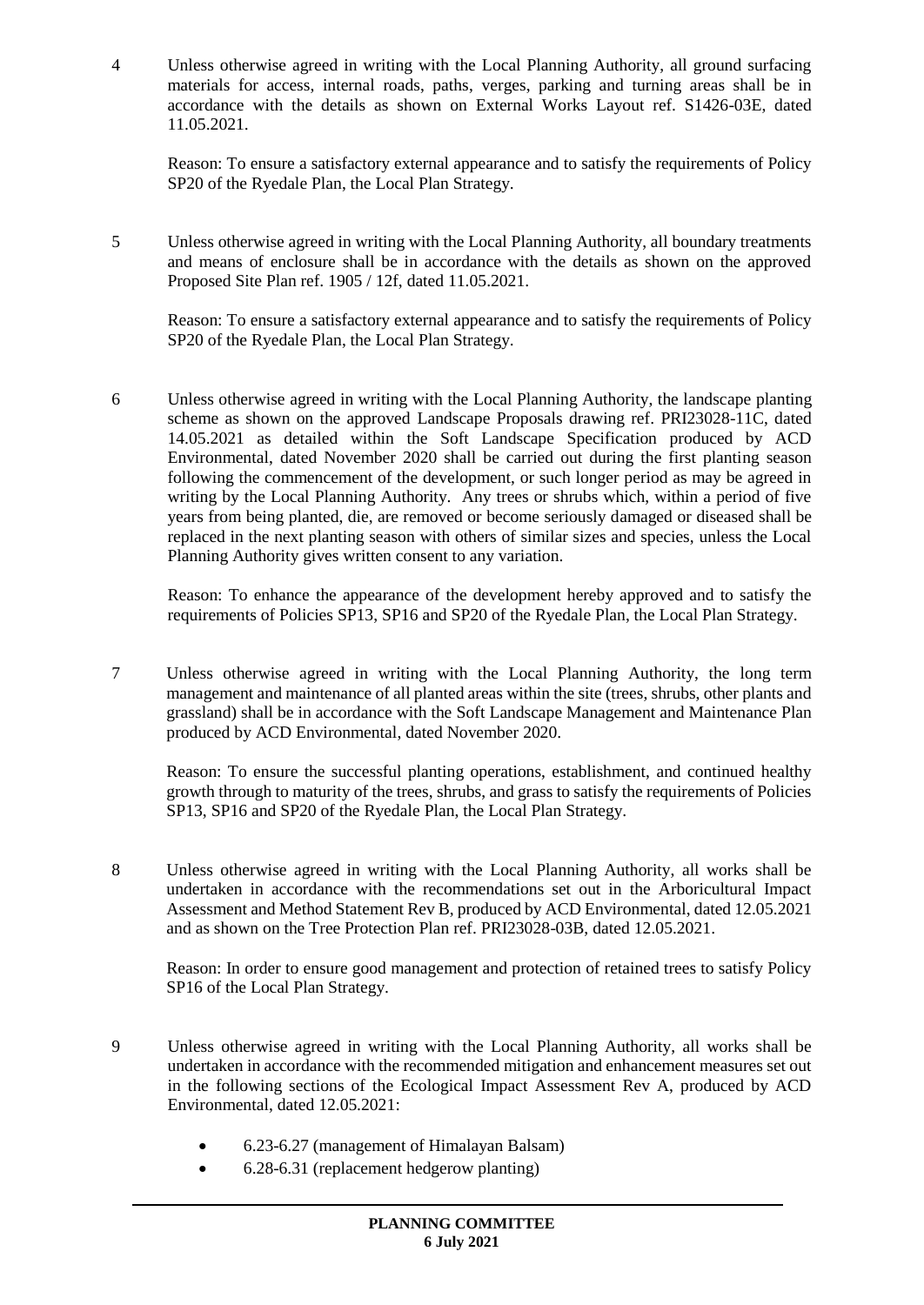4 Unless otherwise agreed in writing with the Local Planning Authority, all ground surfacing materials for access, internal roads, paths, verges, parking and turning areas shall be in accordance with the details as shown on External Works Layout ref. S1426-03E, dated 11.05.2021.

Reason: To ensure a satisfactory external appearance and to satisfy the requirements of Policy SP20 of the Ryedale Plan, the Local Plan Strategy.

5 Unless otherwise agreed in writing with the Local Planning Authority, all boundary treatments and means of enclosure shall be in accordance with the details as shown on the approved Proposed Site Plan ref. 1905 / 12f, dated 11.05.2021.

Reason: To ensure a satisfactory external appearance and to satisfy the requirements of Policy SP20 of the Ryedale Plan, the Local Plan Strategy.

6 Unless otherwise agreed in writing with the Local Planning Authority, the landscape planting scheme as shown on the approved Landscape Proposals drawing ref. PRI23028-11C, dated 14.05.2021 as detailed within the Soft Landscape Specification produced by ACD Environmental, dated November 2020 shall be carried out during the first planting season following the commencement of the development, or such longer period as may be agreed in writing by the Local Planning Authority. Any trees or shrubs which, within a period of five years from being planted, die, are removed or become seriously damaged or diseased shall be replaced in the next planting season with others of similar sizes and species, unless the Local Planning Authority gives written consent to any variation.

Reason: To enhance the appearance of the development hereby approved and to satisfy the requirements of Policies SP13, SP16 and SP20 of the Ryedale Plan, the Local Plan Strategy.

7 Unless otherwise agreed in writing with the Local Planning Authority, the long term management and maintenance of all planted areas within the site (trees, shrubs, other plants and grassland) shall be in accordance with the Soft Landscape Management and Maintenance Plan produced by ACD Environmental, dated November 2020.

Reason: To ensure the successful planting operations, establishment, and continued healthy growth through to maturity of the trees, shrubs, and grass to satisfy the requirements of Policies SP13, SP16 and SP20 of the Ryedale Plan, the Local Plan Strategy.

8 Unless otherwise agreed in writing with the Local Planning Authority, all works shall be undertaken in accordance with the recommendations set out in the Arboricultural Impact Assessment and Method Statement Rev B, produced by ACD Environmental, dated 12.05.2021 and as shown on the Tree Protection Plan ref. PRI23028-03B, dated 12.05.2021.

Reason: In order to ensure good management and protection of retained trees to satisfy Policy SP16 of the Local Plan Strategy.

- 9 Unless otherwise agreed in writing with the Local Planning Authority, all works shall be undertaken in accordance with the recommended mitigation and enhancement measures set out in the following sections of the Ecological Impact Assessment Rev A, produced by ACD Environmental, dated 12.05.2021:
	- 6.23-6.27 (management of Himalayan Balsam)
	- 6.28-6.31 (replacement hedgerow planting)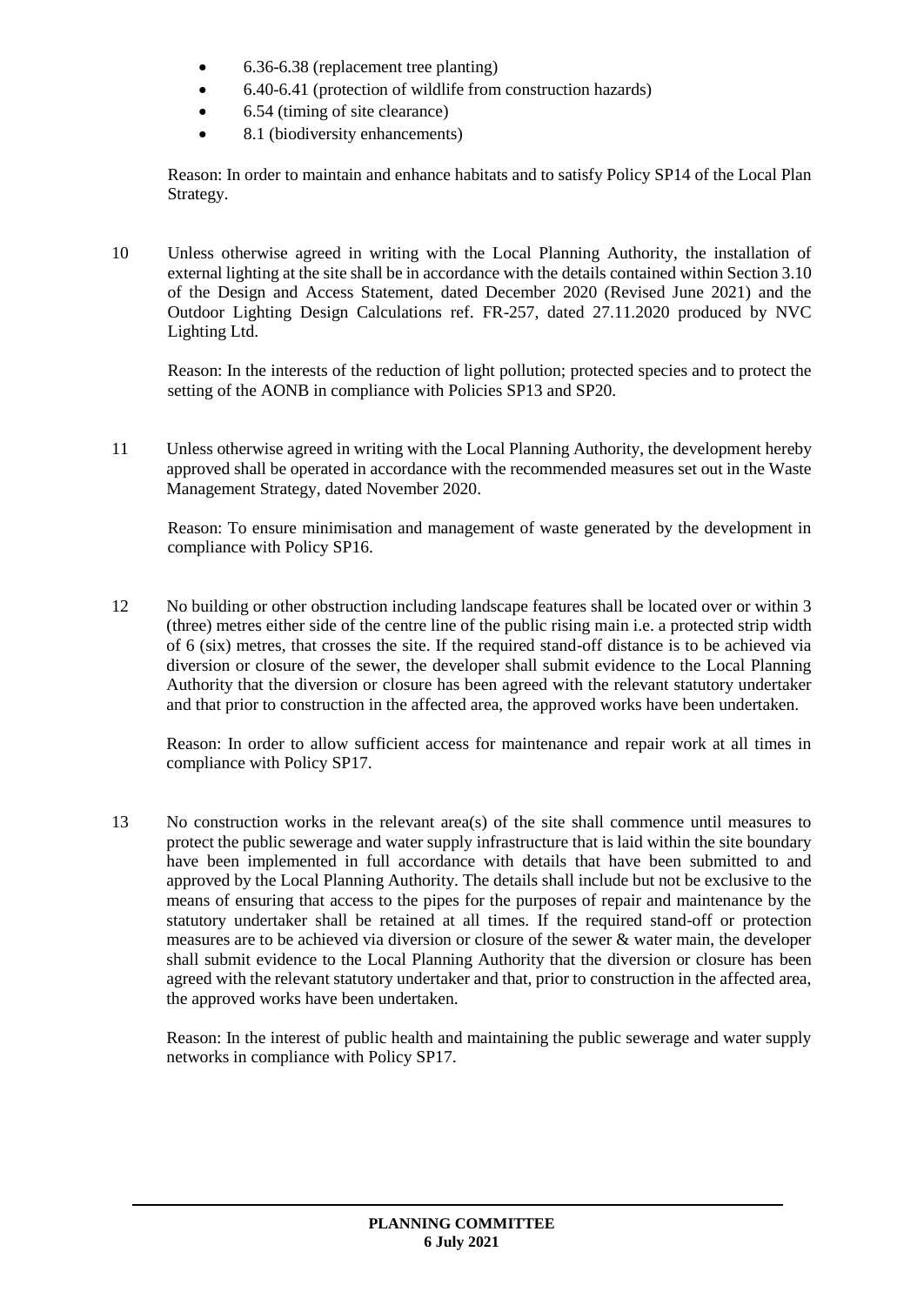- 6.36-6.38 (replacement tree planting)
- 6.40-6.41 (protection of wildlife from construction hazards)
- 6.54 (timing of site clearance)
- 8.1 (biodiversity enhancements)

Reason: In order to maintain and enhance habitats and to satisfy Policy SP14 of the Local Plan Strategy.

10 Unless otherwise agreed in writing with the Local Planning Authority, the installation of external lighting at the site shall be in accordance with the details contained within Section 3.10 of the Design and Access Statement, dated December 2020 (Revised June 2021) and the Outdoor Lighting Design Calculations ref. FR-257, dated 27.11.2020 produced by NVC Lighting Ltd.

Reason: In the interests of the reduction of light pollution; protected species and to protect the setting of the AONB in compliance with Policies SP13 and SP20.

11 Unless otherwise agreed in writing with the Local Planning Authority, the development hereby approved shall be operated in accordance with the recommended measures set out in the Waste Management Strategy, dated November 2020.

Reason: To ensure minimisation and management of waste generated by the development in compliance with Policy SP16.

12 No building or other obstruction including landscape features shall be located over or within 3 (three) metres either side of the centre line of the public rising main i.e. a protected strip width of 6 (six) metres, that crosses the site. If the required stand-off distance is to be achieved via diversion or closure of the sewer, the developer shall submit evidence to the Local Planning Authority that the diversion or closure has been agreed with the relevant statutory undertaker and that prior to construction in the affected area, the approved works have been undertaken.

Reason: In order to allow sufficient access for maintenance and repair work at all times in compliance with Policy SP17.

13 No construction works in the relevant area(s) of the site shall commence until measures to protect the public sewerage and water supply infrastructure that is laid within the site boundary have been implemented in full accordance with details that have been submitted to and approved by the Local Planning Authority. The details shall include but not be exclusive to the means of ensuring that access to the pipes for the purposes of repair and maintenance by the statutory undertaker shall be retained at all times. If the required stand-off or protection measures are to be achieved via diversion or closure of the sewer & water main, the developer shall submit evidence to the Local Planning Authority that the diversion or closure has been agreed with the relevant statutory undertaker and that, prior to construction in the affected area, the approved works have been undertaken.

Reason: In the interest of public health and maintaining the public sewerage and water supply networks in compliance with Policy SP17.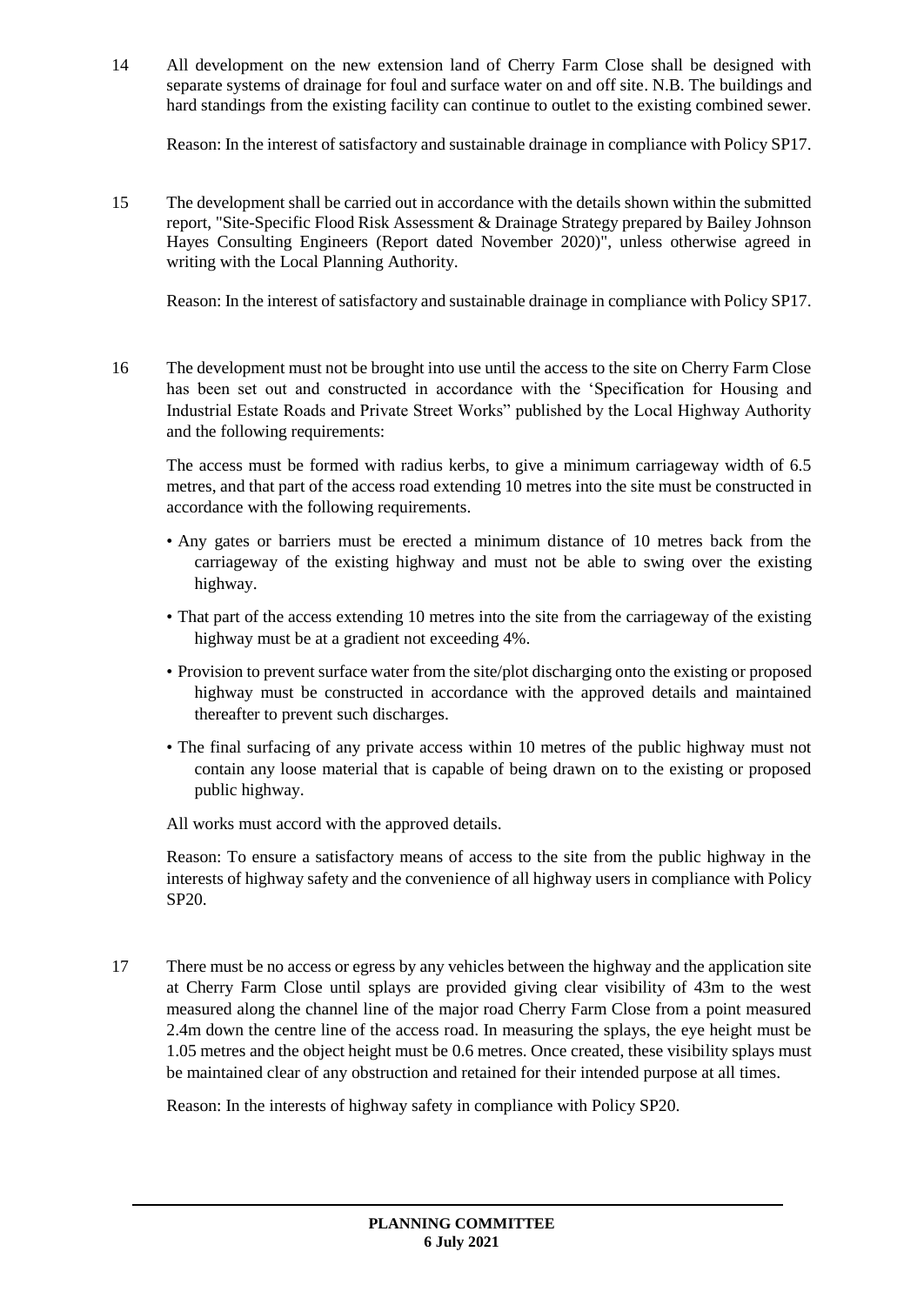14 All development on the new extension land of Cherry Farm Close shall be designed with separate systems of drainage for foul and surface water on and off site. N.B. The buildings and hard standings from the existing facility can continue to outlet to the existing combined sewer.

Reason: In the interest of satisfactory and sustainable drainage in compliance with Policy SP17.

15 The development shall be carried out in accordance with the details shown within the submitted report, "Site-Specific Flood Risk Assessment & Drainage Strategy prepared by Bailey Johnson Hayes Consulting Engineers (Report dated November 2020)", unless otherwise agreed in writing with the Local Planning Authority.

Reason: In the interest of satisfactory and sustainable drainage in compliance with Policy SP17.

16 The development must not be brought into use until the access to the site on Cherry Farm Close has been set out and constructed in accordance with the 'Specification for Housing and Industrial Estate Roads and Private Street Works" published by the Local Highway Authority and the following requirements:

The access must be formed with radius kerbs, to give a minimum carriageway width of 6.5 metres, and that part of the access road extending 10 metres into the site must be constructed in accordance with the following requirements.

- Any gates or barriers must be erected a minimum distance of 10 metres back from the carriageway of the existing highway and must not be able to swing over the existing highway.
- That part of the access extending 10 metres into the site from the carriageway of the existing highway must be at a gradient not exceeding 4%.
- Provision to prevent surface water from the site/plot discharging onto the existing or proposed highway must be constructed in accordance with the approved details and maintained thereafter to prevent such discharges.
- The final surfacing of any private access within 10 metres of the public highway must not contain any loose material that is capable of being drawn on to the existing or proposed public highway.

All works must accord with the approved details.

Reason: To ensure a satisfactory means of access to the site from the public highway in the interests of highway safety and the convenience of all highway users in compliance with Policy SP20.

17 There must be no access or egress by any vehicles between the highway and the application site at Cherry Farm Close until splays are provided giving clear visibility of 43m to the west measured along the channel line of the major road Cherry Farm Close from a point measured 2.4m down the centre line of the access road. In measuring the splays, the eye height must be 1.05 metres and the object height must be 0.6 metres. Once created, these visibility splays must be maintained clear of any obstruction and retained for their intended purpose at all times.

Reason: In the interests of highway safety in compliance with Policy SP20.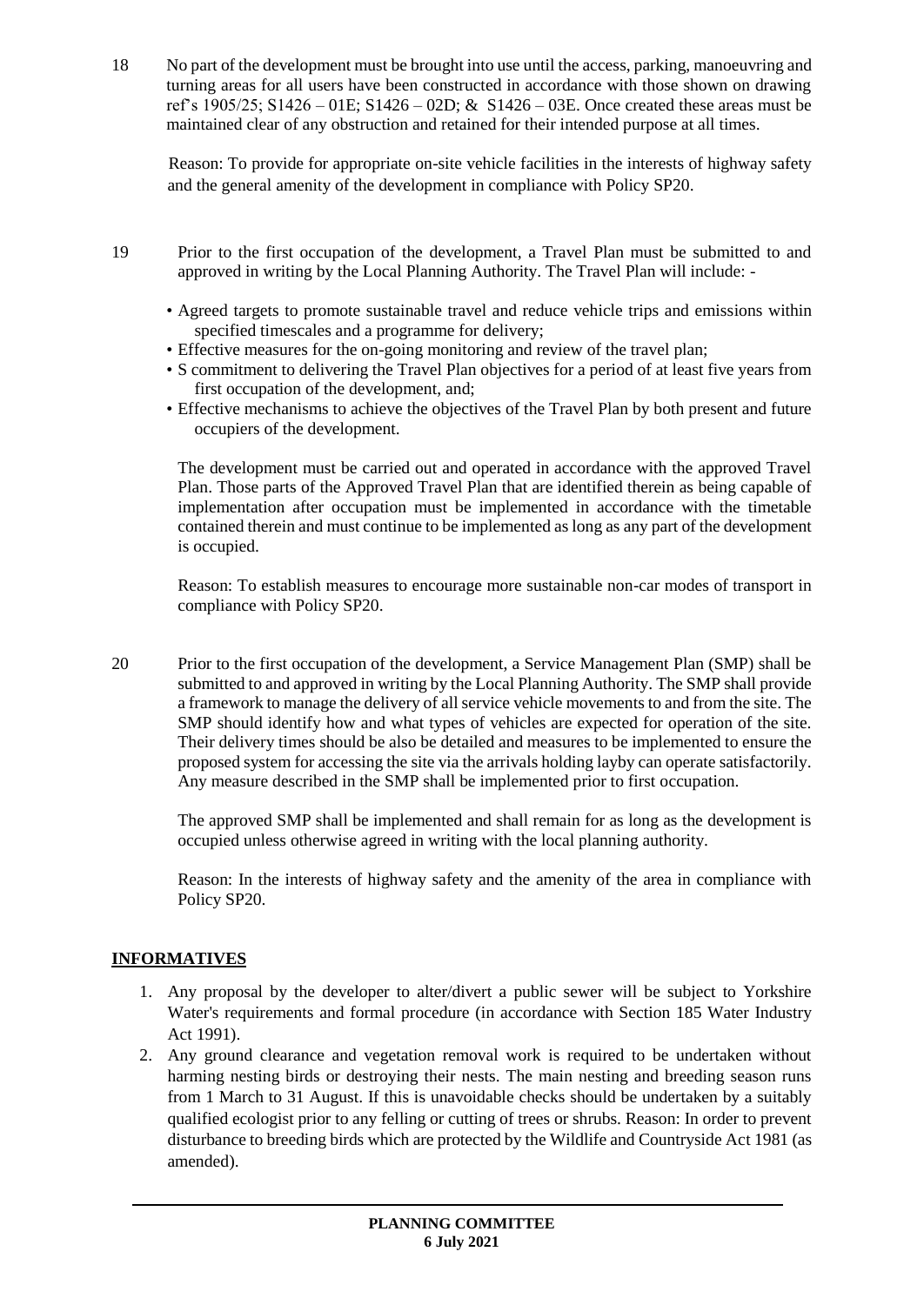18 No part of the development must be brought into use until the access, parking, manoeuvring and turning areas for all users have been constructed in accordance with those shown on drawing ref's 1905/25; S1426 – 01E; S1426 – 02D; & S1426 – 03E. Once created these areas must be maintained clear of any obstruction and retained for their intended purpose at all times.

Reason: To provide for appropriate on-site vehicle facilities in the interests of highway safety and the general amenity of the development in compliance with Policy SP20.

- 19 Prior to the first occupation of the development, a Travel Plan must be submitted to and approved in writing by the Local Planning Authority. The Travel Plan will include: -
	- Agreed targets to promote sustainable travel and reduce vehicle trips and emissions within specified timescales and a programme for delivery;
	- Effective measures for the on-going monitoring and review of the travel plan;
	- S commitment to delivering the Travel Plan objectives for a period of at least five years from first occupation of the development, and;
	- Effective mechanisms to achieve the objectives of the Travel Plan by both present and future occupiers of the development.

The development must be carried out and operated in accordance with the approved Travel Plan. Those parts of the Approved Travel Plan that are identified therein as being capable of implementation after occupation must be implemented in accordance with the timetable contained therein and must continue to be implemented as long as any part of the development is occupied.

Reason: To establish measures to encourage more sustainable non-car modes of transport in compliance with Policy SP20.

20 Prior to the first occupation of the development, a Service Management Plan (SMP) shall be submitted to and approved in writing by the Local Planning Authority. The SMP shall provide a framework to manage the delivery of all service vehicle movements to and from the site. The SMP should identify how and what types of vehicles are expected for operation of the site. Their delivery times should be also be detailed and measures to be implemented to ensure the proposed system for accessing the site via the arrivals holding layby can operate satisfactorily. Any measure described in the SMP shall be implemented prior to first occupation.

The approved SMP shall be implemented and shall remain for as long as the development is occupied unless otherwise agreed in writing with the local planning authority.

Reason: In the interests of highway safety and the amenity of the area in compliance with Policy SP20.

## **INFORMATIVES**

- 1. Any proposal by the developer to alter/divert a public sewer will be subject to Yorkshire Water's requirements and formal procedure (in accordance with Section 185 Water Industry Act 1991).
- 2. Any ground clearance and vegetation removal work is required to be undertaken without harming nesting birds or destroying their nests. The main nesting and breeding season runs from 1 March to 31 August. If this is unavoidable checks should be undertaken by a suitably qualified ecologist prior to any felling or cutting of trees or shrubs. Reason: In order to prevent disturbance to breeding birds which are protected by the Wildlife and Countryside Act 1981 (as amended).

**PLANNING COMMITTEE 6 July 2021**